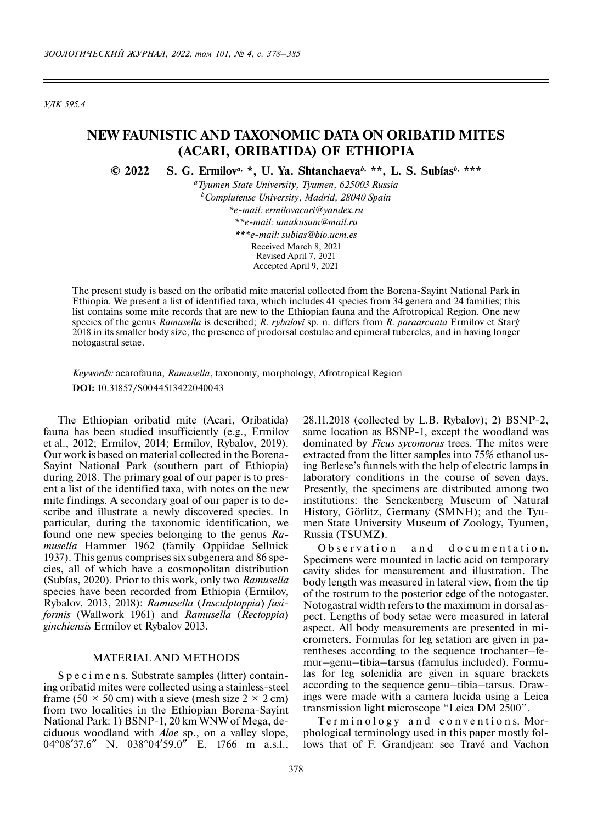*УДК 595.4*

# **NEW FAUNISTIC AND TAXONOMIC DATA ON ORIBATID MITES (ACARI, ORIBATIDA) OF ETHIOPIA**

**© 2022 S. G. Ermilov***a***, \*, U. Ya. Shtanchaeva***b***, \*\*, L. S. Subías***b***, \*\*\***

*a Tyumen State University, Tyumen, 625003 Russia b Complutense University, Madrid, 28040 Spain \*e-mail: ermilovacari@yandex.ru \*\*e-mail: umukusum@mail.ru \*\*\*e-mail: subias@bio.ucm.es*

Received March 8, 2021 Revised April 7, 2021 Accepted April 9, 2021

The present study is based on the oribatid mite material collected from the Borena-Sayint National Park in Ethiopia. We present a list of identified taxa, which includes 41 species from 34 genera and 24 families; this list contains some mite records that are new to the Ethiopian fauna and the Afrotropical Region. One new species of the genus *Ramusella* is described; *R. rybalovi* sp. n. differs from *R. paraarcuata* Ermilov et Starý 2018 in its smaller body size, the presence of prodorsal costulae and epimeral tubercles, and in having longer notogastral setae.

*Keywords:* acarofauna, *Ramusella*, taxonomy, morphology, Afrotropical Region **DOI:** 10.31857/S0044513422040043

The Ethiopian oribatid mite (Acari, Oribatida) fauna has been studied insufficiently (e.g., Ermilov et al., 2012; Ermilov, 2014; Ermilov, Rybalov, 2019). Our work is based on material collected in the Borena-Sayint National Park (southern part of Ethiopia) during 2018. The primary goal of our paper is to present a list of the identified taxa, with notes on the new mite findings. A secondary goal of our paper is to describe and illustrate a newly discovered species. In particular, during the taxonomic identification, we found one new species belonging to the genus *Ramusella* Hammer 1962 (family Oppiidae Sellnick 1937). This genus comprises six subgenera and 86 species, all of which have a cosmopolitan distribution (Subías, 2020). Prior to this work, only two *Ramusella* species have been recorded from Ethiopia (Ermilov, Rybalov, 2013, 2018): *Ramusella* (*Insculptoppia*) *fusiformis* (Wallwork 1961) and *Ramusella* (*Rectoppia*) *ginchiensis* Ermilov et Rybalov 2013.

## MATERIAL AND METHODS

S p e c i m e n s. Substrate samples (litter) containing oribatid mites were collected using a stainless-steel frame (50  $\times$  50 cm) with a sieve (mesh size 2  $\times$  2 cm) from two localities in the Ethiopian Borena-Sayint National Park: 1) BSNP-1, 20 km WNW of Mega, deciduous woodland with *Aloe* sp., on a valley slope, 04°08′37.6″ N, 038°04′59.0″ E, 1766 m a.s.l., 28.11.2018 (collected by L.B. Rybalov); 2) BSNP-2, same location as BSNP-1, except the woodland was dominated by *Ficus sycomorus* trees. The mites were extracted from the litter samples into 75% ethanol using Berlese's funnels with the help of electric lamps in laboratory conditions in the course of seven days. Presently, the specimens are distributed among two institutions: the Senckenberg Museum of Natural History, Görlitz, Germany (SMNH); and the Tyumen State University Museum of Zoology, Tyumen, Russia (TSUMZ).

Observation and documentation. Specimens were mounted in lactic acid on temporary cavity slides for measurement and illustration. The body length was measured in lateral view, from the tip of the rostrum to the posterior edge of the notogaster. Notogastral width refers to the maximum in dorsal aspect. Lengths of body setae were measured in lateral aspect. All body measurements are presented in micrometers. Formulas for leg setation are given in parentheses according to the sequence trochanter–femur–genu–tibia–tarsus (famulus included). Formulas for leg solenidia are given in square brackets according to the sequence genu–tibia–tarsus. Drawings were made with a camera lucida using a Leica transmission light microscope "Leica DM 2500".

Terminology and conventions. Morphological terminology used in this paper mostly follows that of F. Grandjean: see Travé and Vachon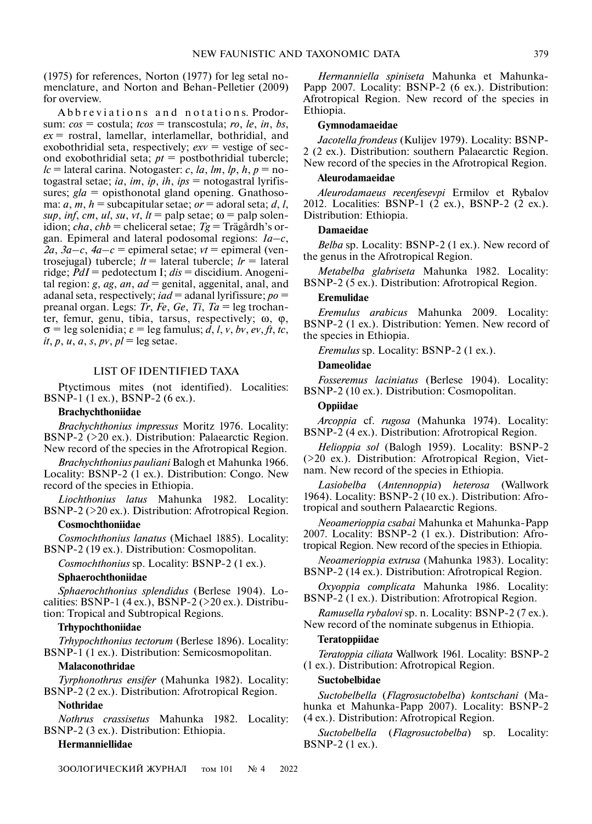(1975) for references, Norton (1977) for leg setal nomenclature, and Norton and Behan-Pelletier (2009) for overview.

Abbreviations and notations. Prodorsum: *cos* = costula; *tcos* = transcostula; *ro*, *le*, *in*, *bs*, *ex* = rostral, lamellar, interlamellar, bothridial, and exobothridial seta, respectively;  $e^{x} = v$  vestige of second exobothridial seta; *pt* = postbothridial tubercle;  $lc$  = lateral carina. Notogaster: *c*, *la*, *lm*, *lp*, *h*, *p* = notogastral setae; *ia*, *im*, *ip*, *ih*, *ips* = notogastral lyrifissures; *gla* = opisthonotal gland opening. Gnathosoma:  $a, m, h$  = subcapitular setae;  $or$  = adoral seta;  $d, l$ , *sup*, *inf*, *cm*, *ul*, *su*, *vt*, *lt* = palp setae;  $\omega$  = palp solenidion; *cha*, *chb* = cheliceral setae; *Tg* = Trägårdh's organ. Epimeral and lateral podosomal regions: *1a–c*,  $2a, 3a-c, 4a-c$  = epimeral setae;  $vt$  = epimeral (ventrosejugal) tubercle;  $lt =$  lateral tubercle;  $lr =$  lateral ridge; *PdI* = pedotectum I; *dis* = discidium. Anogenital region: *g*, *ag*, *an*, *ad* = genital, aggenital, anal, and adanal seta, respectively; *iad* = adanal lyrifissure; *po* = preanal organ. Legs: *Tr*, *Fe*, *Ge*, *Ti*, *Ta* = leg trochanter, femur, genu, tibia, tarsus, respectively; ω, ϕ,  $\sigma$  = leg solenidia;  $\varepsilon$  = leg famulus; *d*, *l*, *v*, *bv*, *ev*, *ft*, *tc*,  $it, p, u, a, s, pv, pl = \text{leg} setae.$ 

## LIST OF IDENTIFIED TAXA

Ptyctimous mites (not identified). Localities: BSNP-1 (1 ex.), BSNP-2 (6 ex.).

## **Brachychthoniidae**

*Brachychthonius impressus* Moritz 1976. Locality: BSNP-2 (>20 ex.). Distribution: Palaearctic Region. New record of the species in the Afrotropical Region.

*Brachychthonius pauliani* Balogh et Mahunka 1966. Locality: BSNP-2 (1 ex.). Distribution: Congo. New record of the species in Ethiopia.

*Liochthonius latus* Mahunka 1982. Locality: BSNP-2 (>20 ex.). Distribution: Afrotropical Region.

#### **Cosmochthoniidae**

*Cosmochthonius lanatus* (Michael 1885). Locality: BSNP-2 (19 ex.). Distribution: Cosmopolitan.

*Cosmochthonius* sp. Locality: BSNP-2 (1 ex.).

#### **Sphaerochthoniidae**

*Sphaerochthonius splendidus* (Berlese 1904). Localities: BSNP-1 (4 ex.), BSNP-2 (>20 ex.). Distribution: Tropical and Subtropical Regions.

## **Trhypochthoniidae**

*Trhypochthonius tectorum* (Berlese 1896). Locality: BSNP-1 (1 ex.). Distribution: Semicosmopolitan.

## **Malaconothridae**

*Tyrphonothrus ensifer* (Mahunka 1982). Locality: BSNP-2 (2 ex.). Distribution: Afrotropical Region.

## **Nothridae**

*Nothrus crassisetus* Mahunka 1982. Locality: BSNP-2 (3 ex.). Distribution: Ethiopia.

#### **Hermanniellidae**

*Hermanniella spiniseta* Mahunka et Mahunka-Papp 2007. Locality: BSNP-2 (6 ex.). Distribution: Afrotropical Region. New record of the species in Ethiopia.

#### **Gymnodamaeidae**

*Jacotella frondeus* (Kulijev 1979). Locality: BSNP-2 (2 ex.). Distribution: southern Palaearctic Region. New record of the species in the Afrotropical Region.

#### **Aleurodamaeidae**

*Aleurodamaeus recenfesevpi* Ermilov et Rybalov 2012. Localities: BSNP-1 (2 ex.), BSNP-2 (2 ex.). Distribution: Ethiopia.

#### **Damaeidae**

*Belba* sp. Locality: BSNP-2 (1 ex.). New record of the genus in the Afrotropical Region.

*Metabelba glabriseta* Mahunka 1982. Locality: BSNP-2 (5 ex.). Distribution: Afrotropical Region.

## **Eremulidae**

*Eremulus arabicus* Mahunka 2009. Locality: BSNP-2 (1 ex.). Distribution: Yemen. New record of the species in Ethiopia.

*Eremulus* sp. Locality: BSNP-2 (1 ex.).

#### **Dameolidae**

*Fosseremus laciniatus* (Berlese 1904). Locality: BSNP-2 (10 ex.). Distribution: Cosmopolitan.

## **Oppiidae**

*Arcoppia* cf. *rugosa* (Mahunka 1974). Locality: BSNP-2 (4 ex.). Distribution: Afrotropical Region.

*Helioppia sol* (Balogh 1959). Locality: BSNP-2 (>20 ex.). Distribution: Afrotropical Region, Vietnam. New record of the species in Ethiopia.

*Lasiobelba* (*Antennoppia*) *heterosa* (Wallwork 1964). Locality: BSNP-2 (10 ex.). Distribution: Afrotropical and southern Palaearctic Regions.

*Neoamerioppia csabai* Mahunka et Mahunka-Papp 2007. Locality: BSNP-2 (1 ex.). Distribution: Afrotropical Region. New record of the species in Ethiopia.

*Neoamerioppia extrusa* (Mahunka 1983). Locality: BSNP-2 (14 ex.). Distribution: Afrotropical Region.

*Oxyoppia complicata* Mahunka 1986. Locality: BSNP-2 (1 ex.). Distribution: Afrotropical Region.

*Ramusella rybalovi* sp. n. Locality: BSNP-2 (7 ex.). New record of the nominate subgenus in Ethiopia.

#### **Teratoppiidae**

*Teratoppia ciliata* Wallwork 1961. Locality: BSNP-2 (1 ex.). Distribution: Afrotropical Region.

#### **Suctobelbidae**

*Suctobelbella* (*Flagrosuctobelba*) *kontschani* (Mahunka et Mahunka-Papp 2007). Locality: BSNP-2 (4 ex.). Distribution: Afrotropical Region.

*Suctobelbella* (*Flagrosuctobelba*) sp. Locality: BSNP-2 (1 ex.).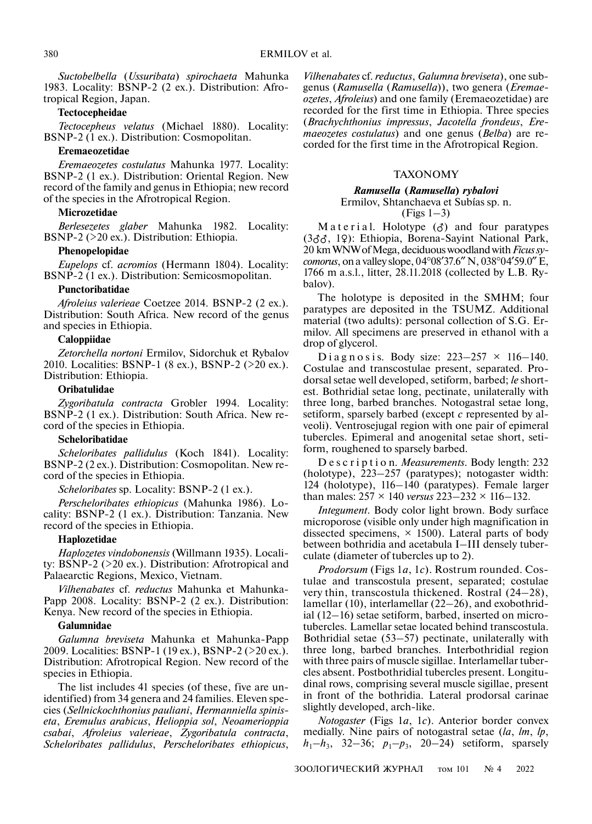*Suctobelbella* (*Ussuribata*) *spirochaeta* Mahunka 1983. Locality: BSNP-2 (2 ex.). Distribution: Afrotropical Region, Japan.

## **Tectocepheidae**

*Tectocepheus velatus* (Michael 1880). Locality: BSNP-2 (1 ex.). Distribution: Cosmopolitan.

## **Eremaeozetidae**

*Eremaeozetes costulatus* Mahunka 1977. Locality: BSNP-2 (1 ex.). Distribution: Oriental Region. New record of the family and genus in Ethiopia; new record of the species in the Afrotropical Region.

#### **Microzetidae**

*Berlesezetes glaber* Mahunka 1982. Locality: BSNP-2 (>20 ex.). Distribution: Ethiopia.

#### **Phenopelopidae**

*Eupelops* cf. *acromios* (Hermann 1804). Locality: BSNP-2 (1 ex.). Distribution: Semicosmopolitan.

## **Punctoribatidae**

*Afroleius valerieae* Coetzee 2014. BSNP-2 (2 ex.). Distribution: South Africa. New record of the genus and species in Ethiopia.

## **Caloppiidae**

*Zetorchella nortoni* Ermilov, Sidorchuk et Rybalov 2010. Localities: BSNP-1 (8 ex.), BSNP-2 (>20 ex.). Distribution: Ethiopia.

#### **Oribatulidae**

*Zygoribatula contracta* Grobler 1994. Locality: BSNP-2 (1 ex.). Distribution: South Africa. New record of the species in Ethiopia.

#### **Scheloribatidae**

*Scheloribates pallidulus* (Koch 1841). Locality: BSNP-2 (2 ex.). Distribution: Cosmopolitan. New record of the species in Ethiopia.

*Scheloribates* sp. Locality: BSNP-2 (1 ex.).

*Perscheloribates ethiopicus* (Mahunka 1986). Locality: BSNP-2 (1 ex.). Distribution: Tanzania. New record of the species in Ethiopia.

## **Haplozetidae**

*Haplozetes vindobonensis* (Willmann 1935). Locality: BSNP-2 (>20 ex.). Distribution: Afrotropical and Palaearctic Regions, Mexico, Vietnam.

*Vilhenabates* cf. *reductus* Mahunka et Mahunka-Papp 2008. Locality: BSNP-2 (2 ex.). Distribution: Kenya. New record of the species in Ethiopia.

## **Galumnidae**

*Galumna breviseta* Mahunka et Mahunka-Papp 2009. Localities: BSNP-1 (19 ex.), BSNP-2 (>20 ex.). Distribution: Afrotropical Region. New record of the species in Ethiopia.

The list includes 41 species (of these, five are unidentified) from 34 genera and 24 families. Eleven species (*Sellnickochthonius pauliani*, *Hermanniella spiniseta*, *Eremulus arabicus*, *Helioppia sol*, *Neoamerioppia csabai*, *Afroleius valerieae*, *Zygoribatula contracta*, *Scheloribates pallidulus*, *Perscheloribates ethiopicus*,

*Vilhenabates* cf. *reductus*, *Galumna breviseta*), one subgenus (*Ramusella* (*Ramusella*)), two genera (*Eremaeozetes*, *Afroleius*) and one family (Eremaeozetidae) are recorded for the first time in Ethiopia. Three species (*Brachychthonius impressus*, *Jacotella frondeus*, *Eremaeozetes costulatus*) and one genus (*Belba*) are recorded for the first time in the Afrotropical Region.

## TAXONOMY

## *Ramusella* **(***Ramusella***)** *rybalovi* Ermilov, Shtanchaeva et Subías sp. n.

## $(Figs 1-3)$

M a t e r i a l. Holotype  $(\delta)$  and four paratypes (3♂♂, 1♀): Ethiopia, Borena-Sayint National Park, 20 km WNW of Mega, deciduous woodland with *Ficus sycomorus*, on a valley slope, 04°08′37.6″ N, 038°04′59.0″ E, 1766 m a.s.l., litter, 28.11.2018 (collected by L.B. Rybalov).

The holotype is deposited in the SMHM; four paratypes are deposited in the TSUMZ. Additional material (two adults): personal collection of S.G. Ermilov. All specimens are preserved in ethanol with a drop of glycerol.

D i a g n o s i s. Body size:  $223-257 \times 116-140$ . Costulae and transcostulae present, separated. Prodorsal setae well developed, setiform, barbed; *le* shortest. Bothridial setae long, pectinate, unilaterally with three long, barbed branches. Notogastral setae long, setiform, sparsely barbed (except *c* represented by alveoli). Ventrosejugal region with one pair of epimeral tubercles. Epimeral and anogenital setae short, setiform, roughened to sparsely barbed.

D e s c r i p t i o n. *Measurements*. Body length: 232 (holotype), 223–257 (paratypes); notogaster width: 124 (holotype), 116–140 (paratypes). Female larger than males: 257 × 140 *versus* 223–232 × 116–132.

*Integument*. Body color light brown. Body surface microporose (visible only under high magnification in dissected specimens,  $\times$  1500). Lateral parts of body between bothridia and acetabula I–III densely tuberculate (diameter of tubercles up to 2).

*Prodorsum* (Figs 1*a*, 1*c*). Rostrum rounded. Costulae and transcostula present, separated; costulae very thin, transcostula thickened. Rostral (24–28), lamellar (10), interlamellar (22–26), and exobothridial (12–16) setae setiform, barbed, inserted on microtubercles. Lamellar setae located behind transcostula. Bothridial setae (53–57) pectinate, unilaterally with three long, barbed branches. Interbothridial region with three pairs of muscle sigillae. Interlamellar tubercles absent. Postbothridial tubercles present. Longitudinal rows, comprising several muscle sigillae, present in front of the bothridia. Lateral prodorsal carinae slightly developed, arch-like.

*Notogaster* (Figs 1*a*, 1*c*). Anterior border convex medially. Nine pairs of notogastral setae (*la*, *lm*, *lp*,  $h_1-h_3$ , 32–36;  $p_1-p_3$ , 20–24) setiform, sparsely

ЗООЛОГИЧЕСКИЙ ЖУРНАЛ том 101 № 4 2022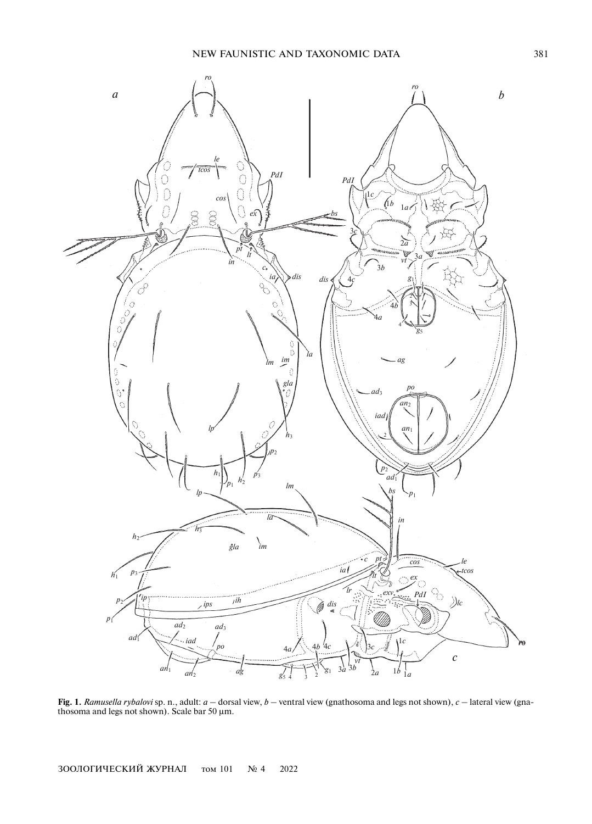

**Fig. 1.** *Ramusella rybalovi* sp. n., adult: *a* – dorsal view, *b* – ventral view (gnathosoma and legs not shown), *c* – lateral view (gnathosoma and legs not shown). Scale bar 50 μm.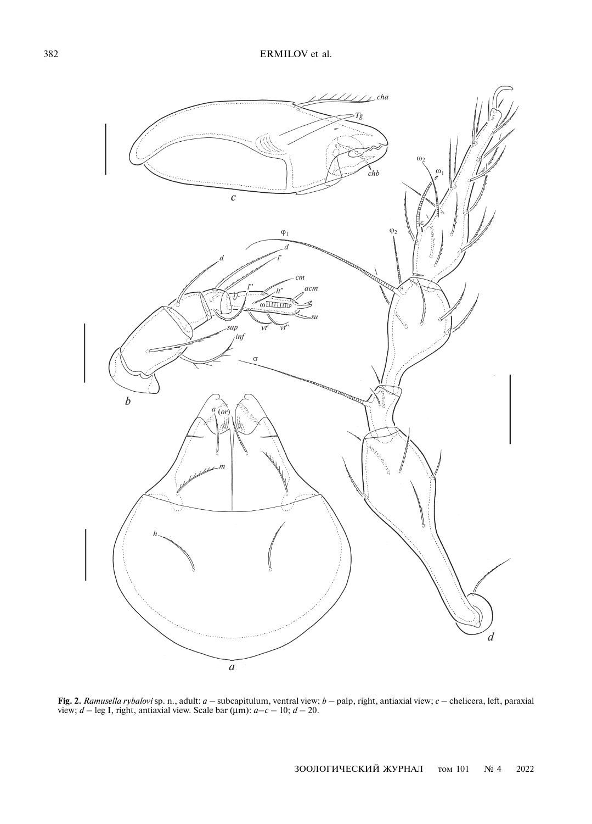

**Fig. 2.** *Ramusella rybalovi* sp. n., adult: *a* – subcapitulum, ventral view; *b* – palp, right, antiaxial view; *c* – chelicera, left, paraxial view;  $d - \text{leg } I$ , right, antiaxial view. Scale bar ( $\mu$ m):  $a-c - 10$ ;  $d - 20$ .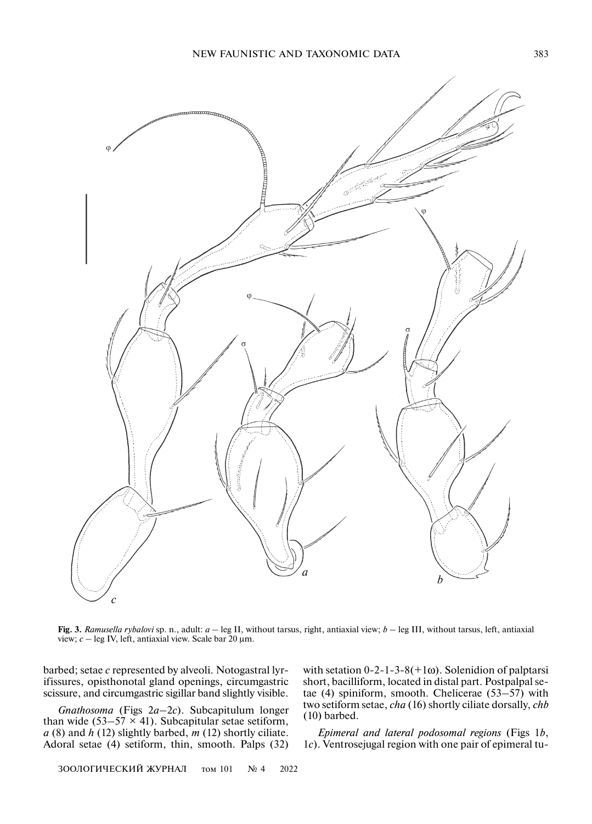

**Fig. 3.** *Ramusella rybalovi* sp. n., adult: *a* – leg II, without tarsus, right, antiaxial view; *b* – leg III, without tarsus, left, antiaxial view; *c* – leg IV, left, antiaxial view. Scale bar 20 μm.

barbed; setae *c* represented by alveoli. Notogastral lyrifissures, opisthonotal gland openings, circumgastric scissure, and circumgastric sigillar band slightly visible.

*Gnathosoma* (Figs 2*a*–2*с*). Subcapitulum longer than wide (53–57  $\times$  41). Subcapitular setae setiform, *a* (8) and *h* (12) slightly barbed, *m* (12) shortly ciliate. Adoral setae (4) setiform, thin, smooth. Palps (32) with setation  $0-2-1-3-8(+1\omega)$ . Solenidion of palptarsi short, bacilliform, located in distal part. Postpalpal setae (4) spiniform, smooth. Chelicerae (53–57) with two setiform setae, *cha* (16) shortly ciliate dorsally, *chb* (10) barbed.

*Epimeral and lateral podosomal regions* (Figs 1*b*, 1*c*). Ventrosejugal region with one pair of epimeral tu-

ЗООЛОГИЧЕСКИЙ ЖУРНАЛ том 101 № 4 2022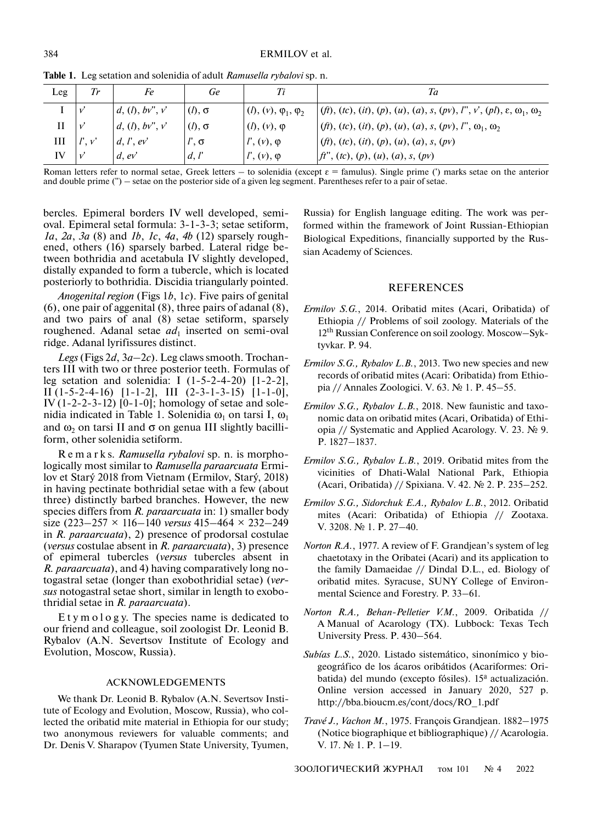| Leg | Тr     | Fe               | Ge            |                                  | Ta                                                                                          |
|-----|--------|------------------|---------------|----------------------------------|---------------------------------------------------------------------------------------------|
|     | V      | d, (l), bv'', v' | $(l), \sigma$ | $(1), (v), \varphi_1, \varphi_2$ | $(f(t), (tc), (it), (p), (u), (a), s, (pv), l'', v', (pl), \varepsilon, \omega_1, \omega_2$ |
| П   | V      | d, (l), bv'', v' | $(l), \sigma$ | $(t), (v), \varphi$              | $(f(t), (tc), (it), (p), (u), (a), s, (pv), l'', \omega_1, \omega_2$                        |
| Ш   | l', v' | d, l', ev'       | $l', \sigma$  | $l', (v), \varphi$               | $(ft), (tc), (it), (p), (u), (a), s, (pv)$                                                  |
| IV  | V      | $d$ , $ev'$      | d, l'         | $\mid l', (v), \varphi \mid$     | ft'', (tc), (p), (u), (a), s, (pv)                                                          |

**Table 1.** Leg setation and solenidia of adult *Ramusella rybalovi* sp. n.

Roman letters refer to normal setae, Greek letters – to solenidia (except  $\varepsilon$  = famulus). Single prime (') marks setae on the anterior and double prime ('') – setae on the posterior side of a given leg segment. Parentheses refer to a pair of setae.

bercles. Epimeral borders IV well developed, semioval. Epimeral setal formula: 3-1-3-3; setae setiform, *1a*, *2a*, *3a* (8) and *1b*, *1c*, *4a*, *4b* (12) sparsely roughened, others (16) sparsely barbed. Lateral ridge between bothridia and acetabula IV slightly developed, distally expanded to form a tubercle, which is located posteriorly to bothridia. Discidia triangularly pointed.

*Anogenital region* (Figs 1*b*, 1*c*). Five pairs of genital (6), one pair of aggenital (8), three pairs of adanal (8), and two pairs of anal (8) setae setiform, sparsely roughened. Adanal setae *ad*<sub>1</sub> inserted on semi-oval ridge. Adanal lyrifissures distinct.

*Legs* (Figs 2*d*, 3*a*–2*c*). Leg claws smooth. Trochanters III with two or three posterior teeth. Formulas of leg setation and solenidia: I  $(1-5-2-4-20)$  [1-2-2], II  $(1-5-2-4-16)$   $[1-1-2]$ , III  $(2-3-1-3-15)$   $[1-1-0]$ , IV (1-2-2-3-12) [0-1-0]; homology of setae and solenidia indicated in Table 1. Solenidia  $\omega_1$  on tarsi I,  $\omega_1$ and  $\omega_2$  on tarsi II and  $\sigma$  on genua III slightly bacilliform, other solenidia setiform.

R e m a r k s. *Ramusella rybalovi* sp. n. is morphologically most similar to *Ramusella paraarcuata* Ermilov et Starý 2018 from Vietnam (Ermilov, Starý, 2018) in having pectinate bothridial setae with a few (about three) distinctly barbed branches. However, the new species differs from *R. paraarcuata* in: 1) smaller body size (223–257 × 116–140 *versus* 415–464 × 232–249 in *R. paraarcuata*), 2) presence of prodorsal costulae (*versus* costulae absent in *R. paraarcuata*), 3) presence of epimeral tubercles (*versus* tubercles absent in *R. paraarcuata*), and 4) having comparatively long notogastral setae (longer than exobothridial setae) (*versus* notogastral setae short, similar in length to exobothridial setae in *R. paraarcuata*).

E t y m o l o g y. The species name is dedicated to our friend and colleague, soil zoologist Dr. Leonid B. Rybalov (A.N. Severtsov Institute of Ecology and Evolution, Moscow, Russia).

## ACKNOWLEDGEMENTS

We thank Dr. Leonid B. Rybalov (A.N. Severtsov Institute of Ecology and Evolution, Moscow, Russia), who collected the oribatid mite material in Ethiopia for our study; two anonymous reviewers for valuable comments; and Dr. Denis V. Sharapov (Tyumen State University, Tyumen,

Russia) for English language editing. The work was performed within the framework of Joint Russian-Ethiopian Biological Expeditions, financially supported by the Russian Academy of Sciences.

#### REFERENCES

- *Ermilov S.G.*, 2014. Oribatid mites (Acari, Oribatida) of Ethiopia // Problems of soil zoology. Materials of the 12th Russian Conference on soil zoology. Moscow–Syktyvkar. P. 94.
- *Ermilov S.G., Rybalov L.B.*, 2013. Two new species and new records of oribatid mites (Acari: Oribatida) from Ethiopia // Annales Zoologici. V. 63. № 1. P. 45–55.
- *Ermilov S.G., Rybalov L.B.*, 2018. New faunistic and taxonomic data on oribatid mites (Acari, Oribatida) of Ethiopia // Systematic and Applied Acarology. V. 23. № 9. P. 1827–1837.
- *Ermilov S.G., Rybalov L.B.*, 2019. Oribatid mites from the vicinities of Dhati-Walal National Park, Ethiopia (Acari, Oribatida) // Spixiana. V. 42. № 2. P. 235–252.
- *Ermilov S.G., Sidorchuk E.A., Rybalov L.B.*, 2012. Oribatid mites (Acari: Oribatida) of Ethiopia // Zootaxa. V. 3208. № 1. P. 27–40.
- *Norton R.A.*, 1977. A review of F. Grandjean's system of leg chaetotaxy in the Oribatei (Acari) and its application to the family Damaeidae // Dindal D.L., ed. Biology of oribatid mites. Syracuse, SUNY College of Environmental Science and Forestry. P. 33–61.
- *Norton R.A., Behan-Pelletier V.M.*, 2009. Oribatida // A Manual of Acarology (TX). Lubbock: Texas Tech University Press. P. 430–564.
- *Subías L.S.*, 2020. Listado sistemático, sinonímico y biogeográfico de los ácaros oribátidos (Acariformes: Oribatida) del mundo (excepto fósiles). 15ª actualización. Online version accessed in January 2020, 527 p. http://bba.bioucm.es/cont/docs/RO\_1.pdf
- *Travé J., Vachon M.*, 1975. François Grandjean. 1882–1975 (Notice biographique et bibliographique) // Acarologia. V. 17. № 1. P. 1–19.